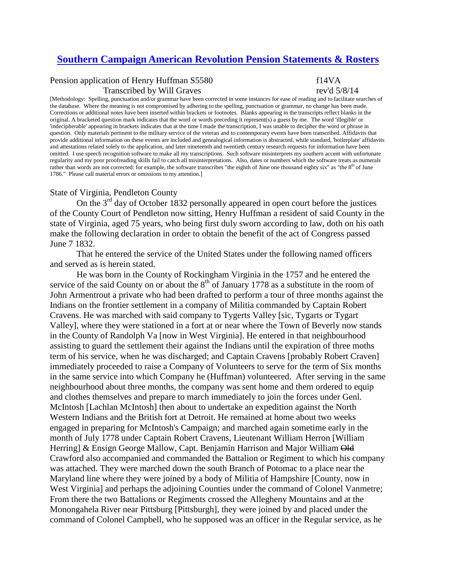## **[Southern Campaign American Revolution Pension Statements & Rosters](http://revwarapps.org/)**

## Pension application of Henry Huffman S5580 f14VA Transcribed by Will Graves rev'd  $5/8/14$

[Methodology: Spelling, punctuation and/or grammar have been corrected in some instances for ease of reading and to facilitate searches of the database. Where the meaning is not compromised by adhering to the spelling, punctuation or grammar, no change has been made. Corrections or additional notes have been inserted within brackets or footnotes. Blanks appearing in the transcripts reflect blanks in the original. A bracketed question mark indicates that the word or words preceding it represent(s) a guess by me. The word 'illegible' or 'indecipherable' appearing in brackets indicates that at the time I made the transcription, I was unable to decipher the word or phrase in question. Only materials pertinent to the military service of the veteran and to contemporary events have been transcribed. Affidavits that provide additional information on these events are included and genealogical information is abstracted, while standard, 'boilerplate' affidavits and attestations related solely to the application, and later nineteenth and twentieth century research requests for information have been omitted. I use speech recognition software to make all my transcriptions. Such software misinterprets my southern accent with unfortunate regularity and my poor proofreading skills fail to catch all misinterpretations. Also, dates or numbers which the software treats as numerals rather than words are not corrected: for example, the software transcribes "the eighth of June one thousand eighty six" as "the 8<sup>th</sup> of June 1786." Please call material errors or omissions to my attention.]

## State of Virginia, Pendleton County

On the 3rd day of October 1832 personally appeared in open court before the justices of the County Court of Pendleton now sitting, Henry Huffman a resident of said County in the state of Virginia, aged 75 years, who being first duly sworn according to law, doth on his oath make the following declaration in order to obtain the benefit of the act of Congress passed June 7 1832.

That he entered the service of the United States under the following named officers and served as is herein stated.

He was born in the County of Rockingham Virginia in the 1757 and he entered the service of the said County on or about the  $8<sup>th</sup>$  of January 1778 as a substitute in the room of John Armentrout a private who had been drafted to perform a tour of three months against the Indians on the frontier settlement in a company of Militia commanded by Captain Robert Cravens. He was marched with said company to Tygerts Valley [sic, Tygarts or Tygart Valley], where they were stationed in a fort at or near where the Town of Beverly now stands in the County of Randolph Va [now in West Virginia]. He entered in that neighbourhood assisting to guard the settlement their against the Indians until the expiration of three moths term of his service, when he was discharged; and Captain Cravens [probably Robert Craven] immediately proceeded to raise a Company of Volunteers to serve for the term of Six months in the same service into which Company he (Huffman) volunteered. After serving in the same neighbourhood about three months, the company was sent home and them ordered to equip and clothes themselves and prepare to march immediately to join the forces under Genl. McIntosh [Lachlan McIntosh] then about to undertake an expedition against the North Western Indians and the British fort at Detroit. He remained at home about two weeks engaged in preparing for McIntosh's Campaign; and marched again sometime early in the month of July 1778 under Captain Robert Cravens, Lieutenant William Herron [William Herring] & Ensign George Mallow, Capt. Benjamin Harrison and Major William Old Crawford also accompanied and commanded the Battalion or Regiment to which his company was attached. They were marched down the south Branch of Potomac to a place near the Maryland line where they were joined by a body of Militia of Hampshire [County, now in West Virginia] and perhaps the adjoining Counties under the command of Colonel Vanmetre; From there the two Battalions or Regiments crossed the Allegheny Mountains and at the Monongahela River near Pittsburg [Pittsburgh], they were joined by and placed under the command of Colonel Campbell, who he supposed was an officer in the Regular service, as he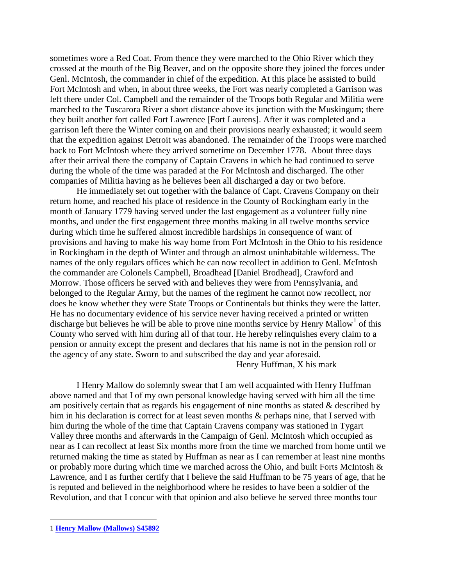sometimes wore a Red Coat. From thence they were marched to the Ohio River which they crossed at the mouth of the Big Beaver, and on the opposite shore they joined the forces under Genl. McIntosh, the commander in chief of the expedition. At this place he assisted to build Fort McIntosh and when, in about three weeks, the Fort was nearly completed a Garrison was left there under Col. Campbell and the remainder of the Troops both Regular and Militia were marched to the Tuscarora River a short distance above its junction with the Muskingum; there they built another fort called Fort Lawrence [Fort Laurens]. After it was completed and a garrison left there the Winter coming on and their provisions nearly exhausted; it would seem that the expedition against Detroit was abandoned. The remainder of the Troops were marched back to Fort McIntosh where they arrived sometime on December 1778. About three days after their arrival there the company of Captain Cravens in which he had continued to serve during the whole of the time was paraded at the For McIntosh and discharged. The other companies of Militia having as he believes been all discharged a day or two before.

He immediately set out together with the balance of Capt. Cravens Company on their return home, and reached his place of residence in the County of Rockingham early in the month of January 1779 having served under the last engagement as a volunteer fully nine months, and under the first engagement three months making in all twelve months service during which time he suffered almost incredible hardships in consequence of want of provisions and having to make his way home from Fort McIntosh in the Ohio to his residence in Rockingham in the depth of Winter and through an almost uninhabitable wilderness. The names of the only regulars offices which he can now recollect in addition to Genl. McIntosh the commander are Colonels Campbell, Broadhead [Daniel Brodhead], Crawford and Morrow. Those officers he served with and believes they were from Pennsylvania, and belonged to the Regular Army, but the names of the regiment he cannot now recollect, nor does he know whether they were State Troops or Continentals but thinks they were the latter. He has no documentary evidence of his service never having received a printed or written discharge but believes he will be able to prove nine months service by Henry Mallow<sup>[1](#page-1-0)</sup> of this County who served with him during all of that tour. He hereby relinquishes every claim to a pension or annuity except the present and declares that his name is not in the pension roll or the agency of any state. Sworn to and subscribed the day and year aforesaid. Henry Huffman, X his mark

I Henry Mallow do solemnly swear that I am well acquainted with Henry Huffman above named and that I of my own personal knowledge having served with him all the time am positively certain that as regards his engagement of nine months as stated & described by him in his declaration is correct for at least seven months & perhaps nine, that I served with him during the whole of the time that Captain Cravens company was stationed in Tygart Valley three months and afterwards in the Campaign of Genl. McIntosh which occupied as near as I can recollect at least Six months more from the time we marched from home until we returned making the time as stated by Huffman as near as I can remember at least nine months or probably more during which time we marched across the Ohio, and built Forts McIntosh  $\&$ Lawrence, and I as further certify that I believe the said Huffman to be 75 years of age, that he is reputed and believed in the neighborhood where he resides to have been a soldier of the Revolution, and that I concur with that opinion and also believe he served three months tour

 $\overline{a}$ 

<span id="page-1-0"></span><sup>1</sup> **[Henry Mallow \(Mallows\) S45892](http://revwarapps.org/s45892.pdf)**